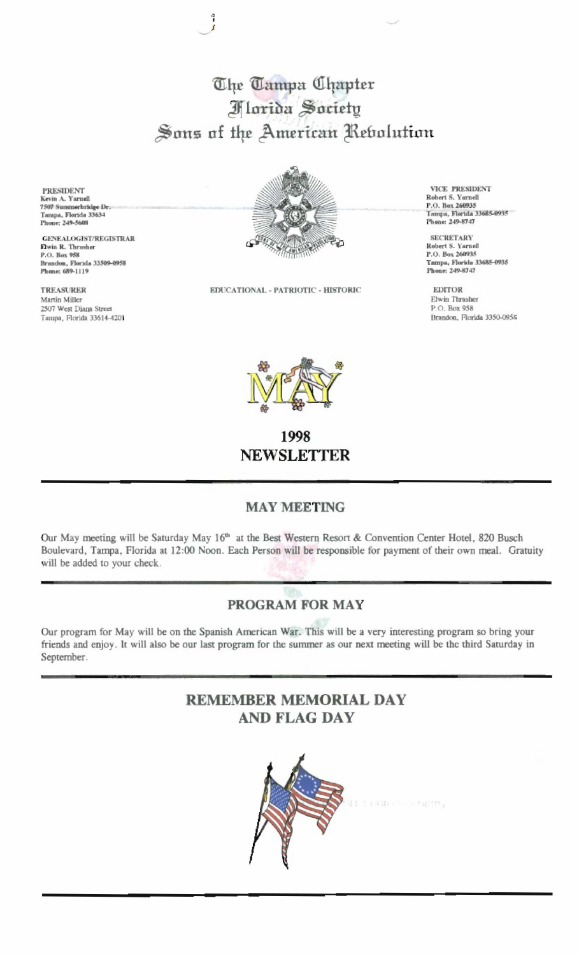The Tampa Chapter **Florida Society** Sons of the American Rebolution

Ĵ

**PRESIDENT** Kevin A. Yarnell<br>7507 Summerbridge Dr.<br>Tampa, Florida 33634 Phone: 249-5608

GENEALOGIST/REGISTRAR Elwin R. Thrasher P.O. Box 958 Brandon, Florida 33509-0958 Phone: 689-1119

**TREASURER** Martin Miller 2507 West Diana Street Tampa, Florida 33614-4201



EDUCATIONAL - PATRIOTIC - HISTORIC

**VICE PRESIDENT** Robert S. Yarnell<br>P.O. Box 260935 Tampa, Florida 33685-0935 Phone: 249-8747

**SECRETARY** Robert S. Yarnell P.O. Box 260935 Tampa, Florida 33685-0935 Phone: 249-8747

**EDITOR** Elwin Thrasher P.O. Box 958 Brandon, Florida 3350-0958



1998 **NEWSLETTER** 

## **MAY MEETING**

Our May meeting will be Saturday May 16<sup>th</sup> at the Best Western Resort & Convention Center Hotel, 820 Busch Boulevard, Tampa, Florida at 12:00 Noon. Each Person will be responsible for payment of their own meal. Gratuity will be added to your check.

## PROGRAM FOR MAY

Our program for May will be on the Spanish American War. This will be a very interesting program so bring your friends and enjoy. It will also be our last program for the summer as our next meeting will be the third Saturday in September.

## **REMEMBER MEMORIAL DAY AND FLAG DAY**